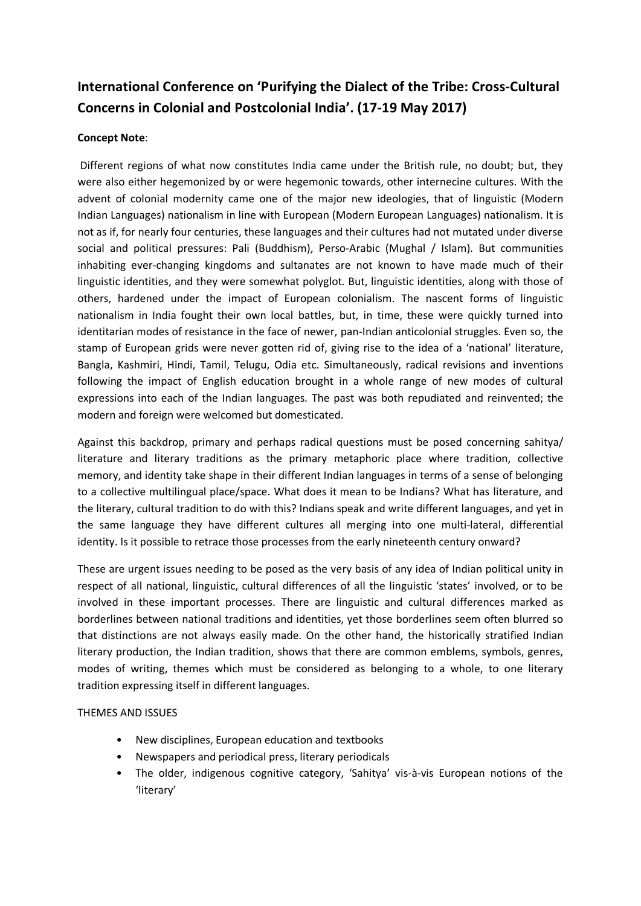## **International Conference on 'Purifying the Dialect of the Tribe: Cross-Cultural Concerns in Colonial and Postcolonial India'. (17-19 May 2017)**

## **Concept Note**:

Different regions of what now constitutes India came under the British rule, no doubt; but, they were also either hegemonized by or were hegemonic towards, other internecine cultures. With the advent of colonial modernity came one of the major new ideologies, that of linguistic (Modern Indian Languages) nationalism in line with European (Modern European Languages) nationalism. It is not as if, for nearly four centuries, these languages and their cultures had not mutated under diverse social and political pressures: Pali (Buddhism), Perso-Arabic (Mughal / Islam). But communities inhabiting ever-changing kingdoms and sultanates are not known to have made much of their linguistic identities, and they were somewhat polyglot. But, linguistic identities, along with those of others, hardened under the impact of European colonialism. The nascent forms of linguistic nationalism in India fought their own local battles, but, in time, these were quickly turned into identitarian modes of resistance in the face of newer, pan-Indian anticolonial struggles. Even so, the stamp of European grids were never gotten rid of, giving rise to the idea of a 'national' literature, Bangla, Kashmiri, Hindi, Tamil, Telugu, Odia etc. Simultaneously, radical revisions and inventions following the impact of English education brought in a whole range of new modes of cultural expressions into each of the Indian languages. The past was both repudiated and reinvented; the modern and foreign were welcomed but domesticated.

Against this backdrop, primary and perhaps radical questions must be posed concerning sahitya/ literature and literary traditions as the primary metaphoric place where tradition, collective memory, and identity take shape in their different Indian languages in terms of a sense of belonging to a collective multilingual place/space. What does it mean to be Indians? What has literature, and the literary, cultural tradition to do with this? Indians speak and write different languages, and yet in the same language they have different cultures all merging into one multi-lateral, differential identity. Is it possible to retrace those processes from the early nineteenth century onward?

These are urgent issues needing to be posed as the very basis of any idea of Indian political unity in respect of all national, linguistic, cultural differences of all the linguistic 'states' involved, or to be involved in these important processes. There are linguistic and cultural differences marked as borderlines between national traditions and identities, yet those borderlines seem often blurred so that distinctions are not always easily made. On the other hand, the historically stratified Indian literary production, the Indian tradition, shows that there are common emblems, symbols, genres, modes of writing, themes which must be considered as belonging to a whole, to one literary tradition expressing itself in different languages.

## THEMES AND ISSUES

- New disciplines, European education and textbooks
- Newspapers and periodical press, literary periodicals
- The older, indigenous cognitive category, 'Sahitya' vis-à-vis European notions of the 'literary'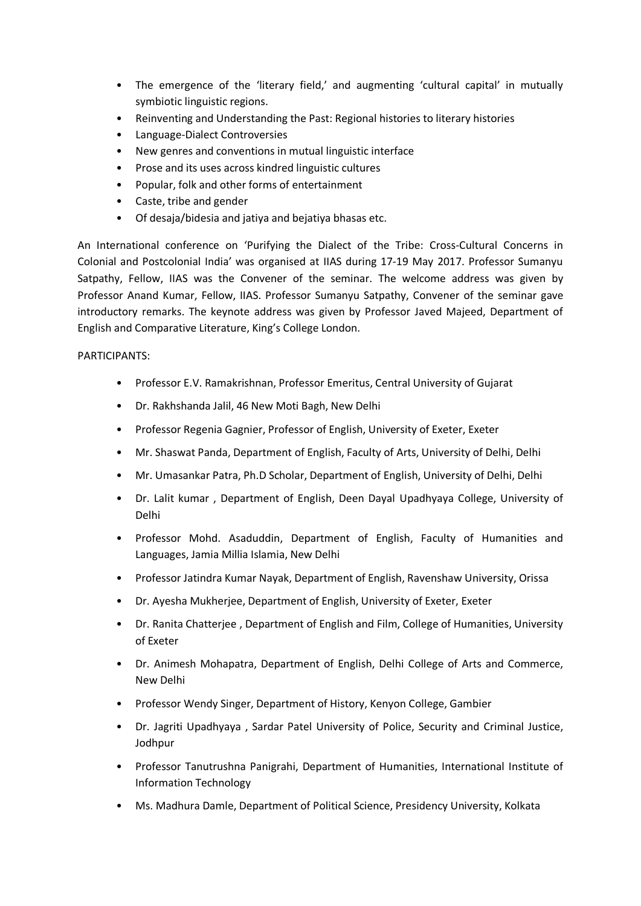- The emergence of the 'literary field,' and augmenting 'cultural capital' in mutually symbiotic linguistic regions.
- Reinventing and Understanding the Past: Regional histories to literary histories
- Language-Dialect Controversies
- New genres and conventions in mutual linguistic interface
- Prose and its uses across kindred linguistic cultures
- Popular, folk and other forms of entertainment
- Caste, tribe and gender
- Of desaja/bidesia and jatiya and bejatiya bhasas etc.

An International conference on 'Purifying the Dialect of the Tribe: Cross-Cultural Concerns in Colonial and Postcolonial India' was organised at IIAS during 17-19 May 2017. Professor Sumanyu Satpathy, Fellow, IIAS was the Convener of the seminar. The welcome address was given by Professor Anand Kumar, Fellow, IIAS. Professor Sumanyu Satpathy, Convener of the seminar gave introductory remarks. The keynote address was given by Professor Javed Majeed, Department of English and Comparative Literature, King's College London.

## PARTICIPANTS:

- Professor E.V. Ramakrishnan, Professor Emeritus, Central University of Gujarat
- Dr. Rakhshanda Jalil, 46 New Moti Bagh, New Delhi
- Professor Regenia Gagnier, Professor of English, University of Exeter, Exeter
- Mr. Shaswat Panda, Department of English, Faculty of Arts, University of Delhi, Delhi
- Mr. Umasankar Patra, Ph.D Scholar, Department of English, University of Delhi, Delhi
- Dr. Lalit kumar , Department of English, Deen Dayal Upadhyaya College, University of Delhi
- Professor Mohd. Asaduddin, Department of English, Faculty of Humanities and Languages, Jamia Millia Islamia, New Delhi
- Professor Jatindra Kumar Nayak, Department of English, Ravenshaw University, Orissa
- Dr. Ayesha Mukherjee, Department of English, University of Exeter, Exeter
- Dr. Ranita Chatterjee , Department of English and Film, College of Humanities, University of Exeter
- Dr. Animesh Mohapatra, Department of English, Delhi College of Arts and Commerce, New Delhi
- Professor Wendy Singer, Department of History, Kenyon College, Gambier
- Dr. Jagriti Upadhyaya , Sardar Patel University of Police, Security and Criminal Justice, Jodhpur
- Professor Tanutrushna Panigrahi, Department of Humanities, International Institute of Information Technology
- Ms. Madhura Damle, Department of Political Science, Presidency University, Kolkata